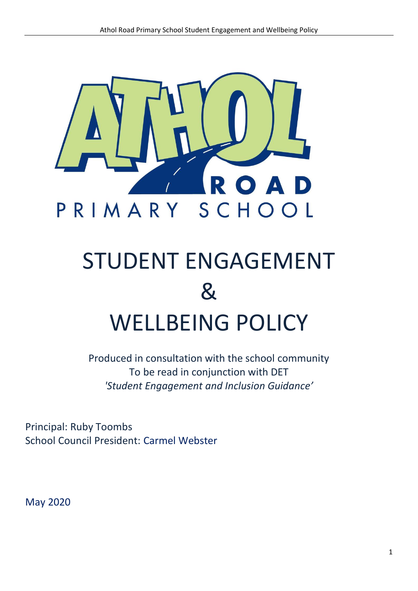

# STUDENT ENGAGEMENT & WELLBEING POLICY

Produced in consultation with the school community To be read in conjunction with DET *'Student Engagement and Inclusion Guidance'*

Principal: Ruby Toombs School Council President: Carmel Webster

May 2020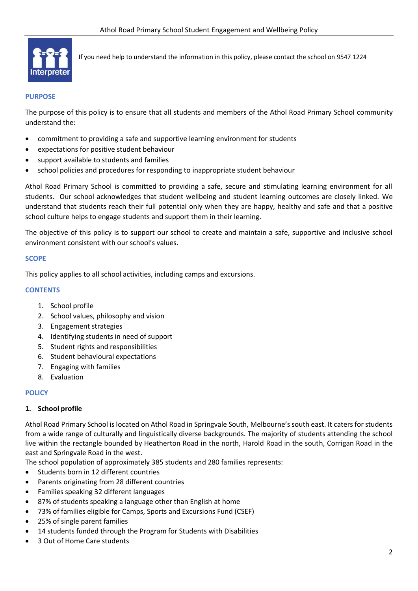

If you need help to understand the information in this policy, please contact the school on 9547 1224

#### **PURPOSE**

The purpose of this policy is to ensure that all students and members of the Athol Road Primary School community understand the:

- commitment to providing a safe and supportive learning environment for students
- expectations for positive student behaviour
- support available to students and families
- school policies and procedures for responding to inappropriate student behaviour

Athol Road Primary School is committed to providing a safe, secure and stimulating learning environment for all students. Our school acknowledges that student wellbeing and student learning outcomes are closely linked. We understand that students reach their full potential only when they are happy, healthy and safe and that a positive school culture helps to engage students and support them in their learning.

The objective of this policy is to support our school to create and maintain a safe, supportive and inclusive school environment consistent with our school's values.

#### **SCOPE**

This policy applies to all school activities, including camps and excursions.

#### **CONTENTS**

- 1. School profile
- 2. School values, philosophy and vision
- 3. Engagement strategies
- 4. Identifying students in need of support
- 5. Student rights and responsibilities
- 6. Student behavioural expectations
- 7. Engaging with families
- 8. Evaluation

# **POLICY**

# **1. School profile**

Athol Road Primary School is located on Athol Road in Springvale South, Melbourne's south east. It caters for students from a wide range of culturally and linguistically diverse backgrounds. The majority of students attending the school live within the rectangle bounded by Heatherton Road in the north, Harold Road in the south, Corrigan Road in the east and Springvale Road in the west.

The school population of approximately 385 students and 280 families represents:

- Students born in 12 different countries
- Parents originating from 28 different countries
- Families speaking 32 different languages
- 87% of students speaking a language other than English at home
- 73% of families eligible for Camps, Sports and Excursions Fund (CSEF)
- 25% of single parent families
- 14 students funded through the Program for Students with Disabilities
- 3 Out of Home Care students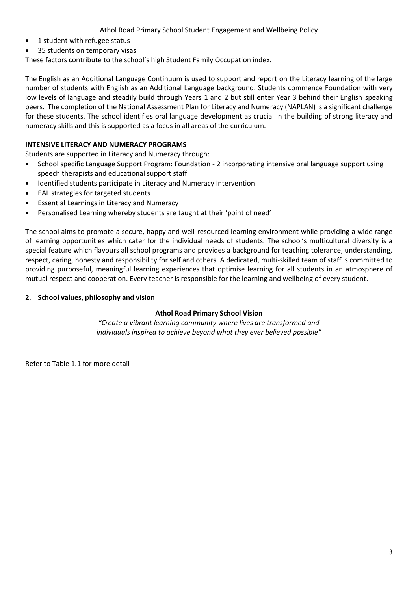- 1 student with refugee status
- 35 students on temporary visas

These factors contribute to the school's high Student Family Occupation index.

The English as an Additional Language Continuum is used to support and report on the Literacy learning of the large number of students with English as an Additional Language background. Students commence Foundation with very low levels of language and steadily build through Years 1 and 2 but still enter Year 3 behind their English speaking peers. The completion of the National Assessment Plan for Literacy and Numeracy (NAPLAN) is a significant challenge for these students. The school identifies oral language development as crucial in the building of strong literacy and numeracy skills and this is supported as a focus in all areas of the curriculum.

# **INTENSIVE LITERACY AND NUMERACY PROGRAMS**

Students are supported in Literacy and Numeracy through:

- School specific Language Support Program: Foundation 2 incorporating intensive oral language support using speech therapists and educational support staff
- Identified students participate in Literacy and Numeracy Intervention
- EAL strategies for targeted students
- Essential Learnings in Literacy and Numeracy
- Personalised Learning whereby students are taught at their 'point of need'

The school aims to promote a secure, happy and well-resourced learning environment while providing a wide range of learning opportunities which cater for the individual needs of students. The school's multicultural diversity is a special feature which flavours all school programs and provides a background for teaching tolerance, understanding, respect, caring, honesty and responsibility for self and others*.* A dedicated, multi-skilled team of staff is committed to providing purposeful, meaningful learning experiences that optimise learning for all students in an atmosphere of mutual respect and cooperation. Every teacher is responsible for the learning and wellbeing of every student.

# **2. School values, philosophy and vision**

# **Athol Road Primary School Vision**

*"Create a vibrant learning community where lives are transformed and individuals inspired to achieve beyond what they ever believed possible"*

Refer to Table 1.1 for more detail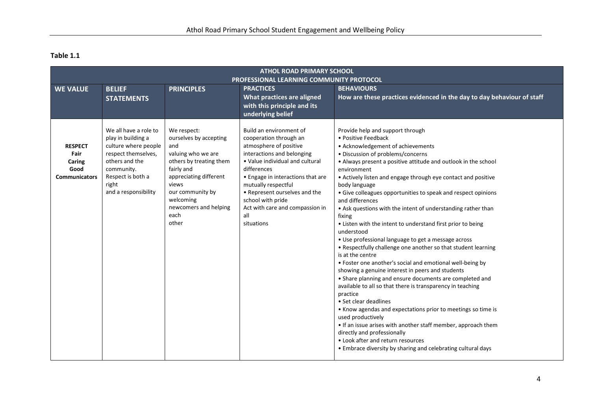# **Table 1.1**

| <b>ATHOL ROAD PRIMARY SCHOOL</b>                                 |                                                                                                                                                                                  |                                                                                                                                                                                                                           |                                                                                                                                                                                                                                                                                                                                       |                                                                                                                                                                                                                                                                                                                                                                                                                                                                                                                                                                                                                                                                                                                                                                                                                                                                                                                                                                                                                                                                                                                                                                                                                                                                      |
|------------------------------------------------------------------|----------------------------------------------------------------------------------------------------------------------------------------------------------------------------------|---------------------------------------------------------------------------------------------------------------------------------------------------------------------------------------------------------------------------|---------------------------------------------------------------------------------------------------------------------------------------------------------------------------------------------------------------------------------------------------------------------------------------------------------------------------------------|----------------------------------------------------------------------------------------------------------------------------------------------------------------------------------------------------------------------------------------------------------------------------------------------------------------------------------------------------------------------------------------------------------------------------------------------------------------------------------------------------------------------------------------------------------------------------------------------------------------------------------------------------------------------------------------------------------------------------------------------------------------------------------------------------------------------------------------------------------------------------------------------------------------------------------------------------------------------------------------------------------------------------------------------------------------------------------------------------------------------------------------------------------------------------------------------------------------------------------------------------------------------|
| <b>PROFESSIONAL LEARNING COMMUNITY PROTOCOL</b>                  |                                                                                                                                                                                  |                                                                                                                                                                                                                           |                                                                                                                                                                                                                                                                                                                                       |                                                                                                                                                                                                                                                                                                                                                                                                                                                                                                                                                                                                                                                                                                                                                                                                                                                                                                                                                                                                                                                                                                                                                                                                                                                                      |
| <b>WE VALUE</b>                                                  | <b>BELIEF</b>                                                                                                                                                                    | <b>PRINCIPLES</b>                                                                                                                                                                                                         | <b>PRACTICES</b>                                                                                                                                                                                                                                                                                                                      | <b>BEHAVIOURS</b>                                                                                                                                                                                                                                                                                                                                                                                                                                                                                                                                                                                                                                                                                                                                                                                                                                                                                                                                                                                                                                                                                                                                                                                                                                                    |
|                                                                  | <b>STATEMENTS</b>                                                                                                                                                                |                                                                                                                                                                                                                           | What practices are aligned                                                                                                                                                                                                                                                                                                            | How are these practices evidenced in the day to day behaviour of staff                                                                                                                                                                                                                                                                                                                                                                                                                                                                                                                                                                                                                                                                                                                                                                                                                                                                                                                                                                                                                                                                                                                                                                                               |
|                                                                  |                                                                                                                                                                                  |                                                                                                                                                                                                                           | with this principle and its                                                                                                                                                                                                                                                                                                           |                                                                                                                                                                                                                                                                                                                                                                                                                                                                                                                                                                                                                                                                                                                                                                                                                                                                                                                                                                                                                                                                                                                                                                                                                                                                      |
|                                                                  |                                                                                                                                                                                  |                                                                                                                                                                                                                           | underlying belief                                                                                                                                                                                                                                                                                                                     |                                                                                                                                                                                                                                                                                                                                                                                                                                                                                                                                                                                                                                                                                                                                                                                                                                                                                                                                                                                                                                                                                                                                                                                                                                                                      |
| <b>RESPECT</b><br>Fair<br>Caring<br>Good<br><b>Communicators</b> | We all have a role to<br>play in building a<br>culture where people<br>respect themselves,<br>others and the<br>community.<br>Respect is both a<br>right<br>and a responsibility | We respect:<br>ourselves by accepting<br>and<br>valuing who we are<br>others by treating them<br>fairly and<br>appreciating different<br>views<br>our community by<br>welcoming<br>newcomers and helping<br>each<br>other | Build an environment of<br>cooperation through an<br>atmosphere of positive<br>interactions and belonging<br>• Value individual and cultural<br>differences<br>• Engage in interactions that are<br>mutually respectful<br>• Represent ourselves and the<br>school with pride<br>Act with care and compassion in<br>all<br>situations | Provide help and support through<br>• Positive Feedback<br>• Acknowledgement of achievements<br>• Discussion of problems/concerns<br>• Always present a positive attitude and outlook in the school<br>environment<br>• Actively listen and engage through eye contact and positive<br>body language<br>• Give colleagues opportunities to speak and respect opinions<br>and differences<br>• Ask questions with the intent of understanding rather than<br>fixing<br>• Listen with the intent to understand first prior to being<br>understood<br>• Use professional language to get a message across<br>• Respectfully challenge one another so that student learning<br>is at the centre<br>• Foster one another's social and emotional well-being by<br>showing a genuine interest in peers and students<br>• Share planning and ensure documents are completed and<br>available to all so that there is transparency in teaching<br>practice<br>• Set clear deadlines<br>• Know agendas and expectations prior to meetings so time is<br>used productively<br>• If an issue arises with another staff member, approach them<br>directly and professionally<br>• Look after and return resources<br>• Embrace diversity by sharing and celebrating cultural days |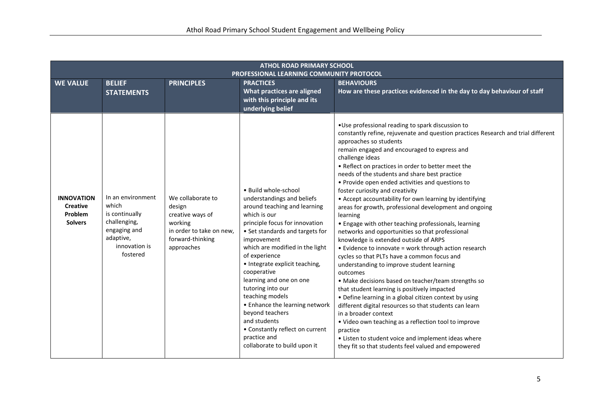| <b>ATHOL ROAD PRIMARY SCHOOL</b><br>PROFESSIONAL LEARNING COMMUNITY PROTOCOL |                                                                                                                        |                                                                                                                          |                                                                                                                                                                                                                                                                                                                                                                                                                                                                                                                        |                                                                                                                                                                                                                                                                                                                                                                                                                                                                                                                                                                                                                                                                                                                                                                                                                                                                                                                                                                                                                                                                                                                                                                                                                                                                                                                              |
|------------------------------------------------------------------------------|------------------------------------------------------------------------------------------------------------------------|--------------------------------------------------------------------------------------------------------------------------|------------------------------------------------------------------------------------------------------------------------------------------------------------------------------------------------------------------------------------------------------------------------------------------------------------------------------------------------------------------------------------------------------------------------------------------------------------------------------------------------------------------------|------------------------------------------------------------------------------------------------------------------------------------------------------------------------------------------------------------------------------------------------------------------------------------------------------------------------------------------------------------------------------------------------------------------------------------------------------------------------------------------------------------------------------------------------------------------------------------------------------------------------------------------------------------------------------------------------------------------------------------------------------------------------------------------------------------------------------------------------------------------------------------------------------------------------------------------------------------------------------------------------------------------------------------------------------------------------------------------------------------------------------------------------------------------------------------------------------------------------------------------------------------------------------------------------------------------------------|
| <b>WE VALUE</b>                                                              | <b>BELIEF</b><br><b>STATEMENTS</b>                                                                                     | <b>PRINCIPLES</b>                                                                                                        | <b>PRACTICES</b><br><b>What practices are aligned</b><br>with this principle and its<br>underlying belief                                                                                                                                                                                                                                                                                                                                                                                                              | <b>BEHAVIOURS</b><br>How are these practices evidenced in the day to day behaviour of staff                                                                                                                                                                                                                                                                                                                                                                                                                                                                                                                                                                                                                                                                                                                                                                                                                                                                                                                                                                                                                                                                                                                                                                                                                                  |
| <b>INNOVATION</b><br><b>Creative</b><br>Problem<br><b>Solvers</b>            | In an environment<br>which<br>is continually<br>challenging,<br>engaging and<br>adaptive,<br>innovation is<br>fostered | We collaborate to<br>design<br>creative ways of<br>working<br>in order to take on new,<br>forward-thinking<br>approaches | · Build whole-school<br>understandings and beliefs<br>around teaching and learning<br>which is our<br>principle focus for innovation<br>• Set standards and targets for<br>improvement<br>which are modified in the light<br>of experience<br>• Integrate explicit teaching,<br>cooperative<br>learning and one on one<br>tutoring into our<br>teaching models<br>• Enhance the learning network<br>beyond teachers<br>and students<br>• Constantly reflect on current<br>practice and<br>collaborate to build upon it | . Use professional reading to spark discussion to<br>constantly refine, rejuvenate and question practices Research and trial different<br>approaches so students<br>remain engaged and encouraged to express and<br>challenge ideas<br>. Reflect on practices in order to better meet the<br>needs of the students and share best practice<br>• Provide open ended activities and questions to<br>foster curiosity and creativity<br>• Accept accountability for own learning by identifying<br>areas for growth, professional development and ongoing<br>learning<br>• Engage with other teaching professionals, learning<br>networks and opportunities so that professional<br>knowledge is extended outside of ARPS<br>• Evidence to innovate = work through action research<br>cycles so that PLTs have a common focus and<br>understanding to improve student learning<br>outcomes<br>• Make decisions based on teacher/team strengths so<br>that student learning is positively impacted<br>• Define learning in a global citizen context by using<br>different digital resources so that students can learn<br>in a broader context<br>. Video own teaching as a reflection tool to improve<br>practice<br>• Listen to student voice and implement ideas where<br>they fit so that students feel valued and empowered |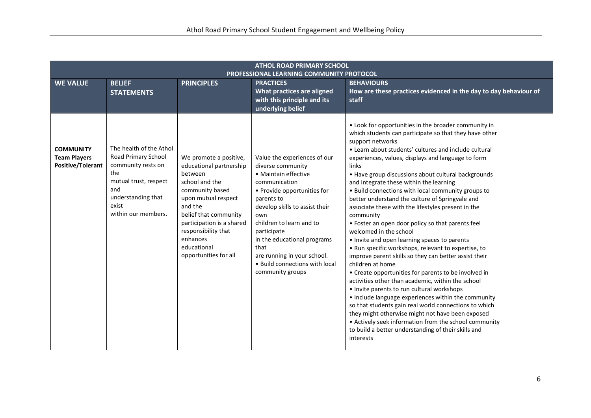| <b>ATHOL ROAD PRIMARY SCHOOL</b><br>PROFESSIONAL LEARNING COMMUNITY PROTOCOL |                                                                                                                                                                   |                                                                                                                                                                                                                                                                      |                                                                                                                                                                                                                                                                                                                                                         |                                                                                                                                                                                                                                                                                                                                                                                                                                                                                                                                                                                                                                                                                                                                                                                                                                                                                                                                                                                                                                                                                                                                                                                                                                                                         |
|------------------------------------------------------------------------------|-------------------------------------------------------------------------------------------------------------------------------------------------------------------|----------------------------------------------------------------------------------------------------------------------------------------------------------------------------------------------------------------------------------------------------------------------|---------------------------------------------------------------------------------------------------------------------------------------------------------------------------------------------------------------------------------------------------------------------------------------------------------------------------------------------------------|-------------------------------------------------------------------------------------------------------------------------------------------------------------------------------------------------------------------------------------------------------------------------------------------------------------------------------------------------------------------------------------------------------------------------------------------------------------------------------------------------------------------------------------------------------------------------------------------------------------------------------------------------------------------------------------------------------------------------------------------------------------------------------------------------------------------------------------------------------------------------------------------------------------------------------------------------------------------------------------------------------------------------------------------------------------------------------------------------------------------------------------------------------------------------------------------------------------------------------------------------------------------------|
| <b>WE VALUE</b>                                                              | <b>BELIEF</b><br><b>STATEMENTS</b>                                                                                                                                | <b>PRINCIPLES</b>                                                                                                                                                                                                                                                    | <b>PRACTICES</b><br>What practices are aligned<br>with this principle and its<br>underlying belief                                                                                                                                                                                                                                                      | <b>BEHAVIOURS</b><br>How are these practices evidenced in the day to day behaviour of<br>staff                                                                                                                                                                                                                                                                                                                                                                                                                                                                                                                                                                                                                                                                                                                                                                                                                                                                                                                                                                                                                                                                                                                                                                          |
| <b>COMMUNITY</b><br><b>Team Players</b><br>Positive/Tolerant                 | The health of the Athol<br>Road Primary School<br>community rests on<br>the<br>mutual trust, respect<br>and<br>understanding that<br>exist<br>within our members. | We promote a positive,<br>educational partnership<br>between<br>school and the<br>community based<br>upon mutual respect<br>and the<br>belief that community<br>participation is a shared<br>responsibility that<br>enhances<br>educational<br>opportunities for all | Value the experiences of our<br>diverse community<br>• Maintain effective<br>communication<br>• Provide opportunities for<br>parents to<br>develop skills to assist their<br>own<br>children to learn and to<br>participate<br>in the educational programs<br>that<br>are running in your school.<br>• Build connections with local<br>community groups | • Look for opportunities in the broader community in<br>which students can participate so that they have other<br>support networks<br>• Learn about students' cultures and include cultural<br>experiences, values, displays and language to form<br>links<br>• Have group discussions about cultural backgrounds<br>and integrate these within the learning<br>. Build connections with local community groups to<br>better understand the culture of Springvale and<br>associate these with the lifestyles present in the<br>community<br>• Foster an open door policy so that parents feel<br>welcomed in the school<br>• Invite and open learning spaces to parents<br>. Run specific workshops, relevant to expertise, to<br>improve parent skills so they can better assist their<br>children at home<br>• Create opportunities for parents to be involved in<br>activities other than academic, within the school<br>• Invite parents to run cultural workshops<br>• Include language experiences within the community<br>so that students gain real world connections to which<br>they might otherwise might not have been exposed<br>• Actively seek information from the school community<br>to build a better understanding of their skills and<br>interests |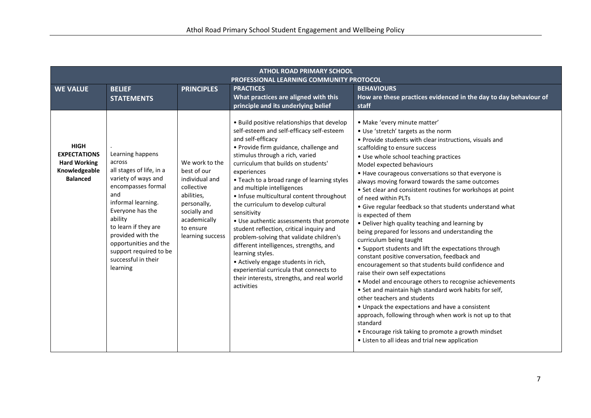| <b>ATHOL ROAD PRIMARY SCHOOL</b><br>PROFESSIONAL LEARNING COMMUNITY PROTOCOL                  |                                                                                                                                                                                                                                                                                                    |                                                                                                                                                             |                                                                                                                                                                                                                                                                                                                                                                                                                                                                                                                                                                                                                                                                                                                                                                                  |                                                                                                                                                                                                                                                                                                                                                                                                                                                                                                                                                                                                                                                                                                                                                                                                                                                                                                                                                                                                                                                                                                                                                                                                                                                      |
|-----------------------------------------------------------------------------------------------|----------------------------------------------------------------------------------------------------------------------------------------------------------------------------------------------------------------------------------------------------------------------------------------------------|-------------------------------------------------------------------------------------------------------------------------------------------------------------|----------------------------------------------------------------------------------------------------------------------------------------------------------------------------------------------------------------------------------------------------------------------------------------------------------------------------------------------------------------------------------------------------------------------------------------------------------------------------------------------------------------------------------------------------------------------------------------------------------------------------------------------------------------------------------------------------------------------------------------------------------------------------------|------------------------------------------------------------------------------------------------------------------------------------------------------------------------------------------------------------------------------------------------------------------------------------------------------------------------------------------------------------------------------------------------------------------------------------------------------------------------------------------------------------------------------------------------------------------------------------------------------------------------------------------------------------------------------------------------------------------------------------------------------------------------------------------------------------------------------------------------------------------------------------------------------------------------------------------------------------------------------------------------------------------------------------------------------------------------------------------------------------------------------------------------------------------------------------------------------------------------------------------------------|
| <b>WE VALUE</b>                                                                               | <b>BELIEF</b><br><b>STATEMENTS</b>                                                                                                                                                                                                                                                                 | <b>PRINCIPLES</b>                                                                                                                                           | <b>PRACTICES</b><br>What practices are aligned with this<br>principle and its underlying belief                                                                                                                                                                                                                                                                                                                                                                                                                                                                                                                                                                                                                                                                                  | <b>BEHAVIOURS</b><br>How are these practices evidenced in the day to day behaviour of<br>staff                                                                                                                                                                                                                                                                                                                                                                                                                                                                                                                                                                                                                                                                                                                                                                                                                                                                                                                                                                                                                                                                                                                                                       |
| <b>HIGH</b><br><b>EXPECTATIONS</b><br><b>Hard Working</b><br>Knowledgeable<br><b>Balanced</b> | Learning happens<br>across<br>all stages of life, in a<br>variety of ways and<br>encompasses formal<br>and<br>informal learning.<br>Everyone has the<br>ability<br>to learn if they are<br>provided with the<br>opportunities and the<br>support required to be<br>successful in their<br>learning | We work to the<br>best of our<br>individual and<br>collective<br>abilities,<br>personally,<br>socially and<br>academically<br>to ensure<br>learning success | . Build positive relationships that develop<br>self-esteem and self-efficacy self-esteem<br>and self-efficacy<br>• Provide firm guidance, challenge and<br>stimulus through a rich, varied<br>curriculum that builds on students'<br>experiences<br>• Teach to a broad range of learning styles<br>and multiple intelligences<br>• Infuse multicultural content throughout<br>the curriculum to develop cultural<br>sensitivity<br>• Use authentic assessments that promote<br>student reflection, critical inquiry and<br>problem-solving that validate children's<br>different intelligences, strengths, and<br>learning styles.<br>• Actively engage students in rich,<br>experiential curricula that connects to<br>their interests, strengths, and real world<br>activities | · Make 'every minute matter'<br>. Use 'stretch' targets as the norm<br>• Provide students with clear instructions, visuals and<br>scaffolding to ensure success<br>• Use whole school teaching practices<br>Model expected behaviours<br>• Have courageous conversations so that everyone is<br>always moving forward towards the same outcomes<br>• Set clear and consistent routines for workshops at point<br>of need within PLTs<br>• Give regular feedback so that students understand what<br>is expected of them<br>• Deliver high quality teaching and learning by<br>being prepared for lessons and understanding the<br>curriculum being taught<br>• Support students and lift the expectations through<br>constant positive conversation, feedback and<br>encouragement so that students build confidence and<br>raise their own self expectations<br>• Model and encourage others to recognise achievements<br>• Set and maintain high standard work habits for self,<br>other teachers and students<br>• Unpack the expectations and have a consistent<br>approach, following through when work is not up to that<br>standard<br>• Encourage risk taking to promote a growth mindset<br>• Listen to all ideas and trial new application |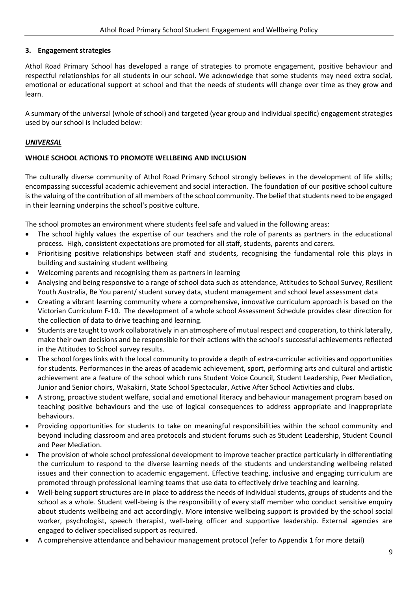# **3. Engagement strategies**

Athol Road Primary School has developed a range of strategies to promote engagement, positive behaviour and respectful relationships for all students in our school. We acknowledge that some students may need extra social, emotional or educational support at school and that the needs of students will change over time as they grow and learn.

A summary of the universal (whole of school) and targeted (year group and individual specific) engagement strategies used by our school is included below:

# *UNIVERSAL*

# **WHOLE SCHOOL ACTIONS TO PROMOTE WELLBEING AND INCLUSION**

The culturally diverse community of Athol Road Primary School strongly believes in the development of life skills; encompassing successful academic achievement and social interaction. The foundation of our positive school culture is the valuing of the contribution of all members of the school community. The belief that students need to be engaged in their learning underpins the school's positive culture.

The school promotes an environment where students feel safe and valued in the following areas:

- The school highly values the expertise of our teachers and the role of parents as partners in the educational process. High, consistent expectations are promoted for all staff, students, parents and carers.
- Prioritising positive relationships between staff and students, recognising the fundamental role this plays in building and sustaining student wellbeing
- Welcoming parents and recognising them as partners in learning
- Analysing and being responsive to a range of school data such as attendance, Attitudes to School Survey, Resilient Youth Australia, Be You parent/ student survey data, student management and school level assessment data
- Creating a vibrant learning community where a comprehensive, innovative curriculum approach is based on the Victorian Curriculum F-10. The development of a whole school Assessment Schedule provides clear direction for the collection of data to drive teaching and learning.
- Students are taught to work collaboratively in an atmosphere of mutual respect and cooperation, to think laterally, make their own decisions and be responsible for their actions with the school's successful achievements reflected in the Attitudes to School survey results.
- The school forges links with the local community to provide a depth of extra-curricular activities and opportunities for students. Performances in the areas of academic achievement, sport, performing arts and cultural and artistic achievement are a feature of the school which runs Student Voice Council, Student Leadership, Peer Mediation, Junior and Senior choirs, Wakakirri, State School Spectacular, Active After School Activities and clubs.
- A strong, proactive student welfare, social and emotional literacy and behaviour management program based on teaching positive behaviours and the use of logical consequences to address appropriate and inappropriate behaviours.
- Providing opportunities for students to take on meaningful responsibilities within the school community and beyond including classroom and area protocols and student forums such as Student Leadership, Student Council and Peer Mediation.
- The provision of whole school professional development to improve teacher practice particularly in differentiating the curriculum to respond to the diverse learning needs of the students and understanding wellbeing related issues and their connection to academic engagement. Effective teaching, inclusive and engaging curriculum are promoted through professional learning teams that use data to effectively drive teaching and learning.
- Well-being support structures are in place to address the needs of individual students, groups of students and the school as a whole. Student well-being is the responsibility of every staff member who conduct sensitive enquiry about students wellbeing and act accordingly. More intensive wellbeing support is provided by the school social worker, psychologist, speech therapist, well-being officer and supportive leadership. External agencies are engaged to deliver specialised support as required.
- A comprehensive attendance and behaviour management protocol (refer to Appendix 1 for more detail)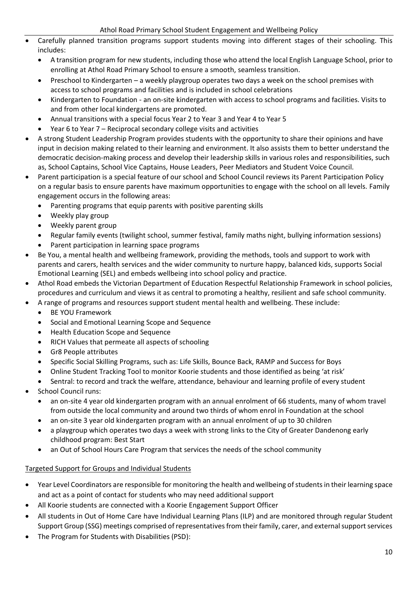- Carefully planned transition programs support students moving into different stages of their schooling. This includes:
	- A transition program for new students, including those who attend the local English Language School, prior to enrolling at Athol Road Primary School to ensure a smooth, seamless transition.
	- Preschool to Kindergarten a weekly playgroup operates two days a week on the school premises with access to school programs and facilities and is included in school celebrations
	- Kindergarten to Foundation an on-site kindergarten with access to school programs and facilities. Visits to and from other local kindergartens are promoted.
	- Annual transitions with a special focus Year 2 to Year 3 and Year 4 to Year 5
	- Year 6 to Year 7 Reciprocal secondary college visits and activities
- A strong Student Leadership Program provides students with the opportunity to share their opinions and have input in decision making related to their learning and environment. It also assists them to better understand the democratic decision-making process and develop their leadership skills in various roles and responsibilities, such as, School Captains, School Vice Captains, House Leaders, Peer Mediators and Student Voice Council.
- Parent participation is a special feature of our school and School Council reviews its Parent Participation Policy on a regular basis to ensure parents have maximum opportunities to engage with the school on all levels. Family engagement occurs in the following areas:
	- Parenting programs that equip parents with positive parenting skills
	- Weekly play group
	- Weekly parent group
	- Regular family events (twilight school, summer festival, family maths night, bullying information sessions)
	- Parent participation in learning space programs
- Be You, a mental health and wellbeing framework, providing the methods, tools and support to work with parents and carers, health services and the wider community to nurture happy, balanced kids, supports Social Emotional Learning (SEL) and embeds wellbeing into school policy and practice.
- Athol Road embeds the Victorian Department of Education Respectful Relationship Framework in school policies, procedures and curriculum and views it as central to promoting a healthy, resilient and safe school community.
- A range of programs and resources support student mental health and wellbeing. These include:
	- BE YOU Framework
	- Social and Emotional Learning Scope and Sequence
	- Health Education Scope and Sequence
	- RICH Values that permeate all aspects of schooling
	- Gr8 People attributes
	- Specific Social Skilling Programs, such as: Life Skills, Bounce Back, RAMP and Success for Boys
	- Online Student Tracking Tool to monitor Koorie students and those identified as being 'at risk'
	- Sentral: to record and track the welfare, attendance, behaviour and learning profile of every student
- School Council runs:
	- an on-site 4 year old kindergarten program with an annual enrolment of 66 students, many of whom travel from outside the local community and around two thirds of whom enrol in Foundation at the school
	- an on-site 3 year old kindergarten program with an annual enrolment of up to 30 children
	- a playgroup which operates two days a week with strong links to the City of Greater Dandenong early childhood program: Best Start
	- an Out of School Hours Care Program that services the needs of the school community

# Targeted Support for Groups and Individual Students

- Year Level Coordinators are responsible for monitoring the health and wellbeing of students in their learning space and act as a point of contact for students who may need additional support
- All Koorie students are connected with a Koorie Engagement Support Officer
- All students in Out of Home Care have Individual Learning Plans (ILP) and are monitored through regular Student Support Group (SSG) meetings comprised of representatives from their family, carer, and external support services
- The Program for Students with Disabilities (PSD):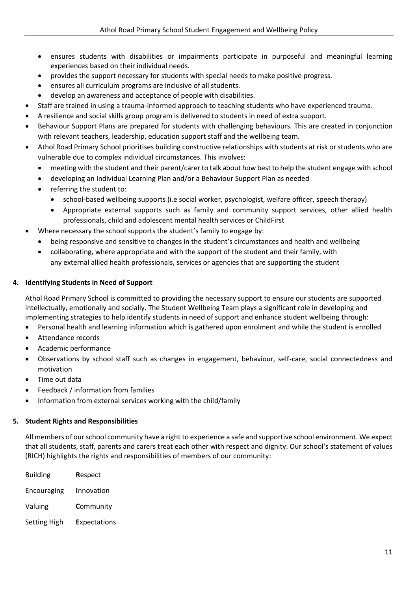- ensures students with disabilities or impairments participate in purposeful and meaningful learning experiences based on their individual needs.
- provides the support necessary for students with special needs to make positive progress.
- ensures all curriculum programs are inclusive of all students.
- develop an awareness and acceptance of people with disabilities.
- Staff are trained in using a trauma-informed approach to teaching students who have experienced trauma.
- A resilience and social skills group program is delivered to students in need of extra support.
- Behaviour Support Plans are prepared for students with challenging behaviours. This are created in conjunction with relevant teachers, leadership, education support staff and the wellbeing team.
- Athol Road Primary School prioritises building constructive relationships with students at risk or students who are vulnerable due to complex individual circumstances. This involves:
	- meeting with the student and their parent/carer to talk about how best to help the student engage with school
	- developing an Individual Learning Plan and/or a Behaviour Support Plan as needed
	- referring the student to:
		- school-based wellbeing supports (i.e social worker, psychologist, welfare officer, speech therapy)
		- Appropriate external supports such as family and community support services, other allied health professionals, child and adolescent mental health services or ChildFirst
	- Where necessary the school supports the student's family to engage by:
	- being responsive and sensitive to changes in the student's circumstances and health and wellbeing
	- collaborating, where appropriate and with the support of the student and their family, with any external allied health professionals, services or agencies that are supporting the student

# **4. Identifying Students in Need of Support**

Athol Road Primary School is committed to providing the necessary support to ensure our students are supported intellectually, emotionally and socially. The Student Wellbeing Team plays a significant role in developing and implementing strategies to help identify students in need of support and enhance student wellbeing through:

- Personal health and learning information which is gathered upon enrolment and while the student is enrolled
- Attendance records
- Academic performance
- Observations by school staff such as changes in engagement, behaviour, self-care, social connectedness and motivation
- Time out data
- Feedback / information from families
- Information from external services working with the child/family

# **5. Student Rights and Responsibilities**

All members of our school community have a right to experience a safe and supportive school environment. We expect that all students, staff, parents and carers treat each other with respect and dignity. Our school's statement of values (RICH) highlights the rights and responsibilities of members of our community:

| <b>Building</b>     | Respect             |
|---------------------|---------------------|
| Encouraging         | <b>Innovation</b>   |
| Valuing             | Community           |
| <b>Setting High</b> | <b>Expectations</b> |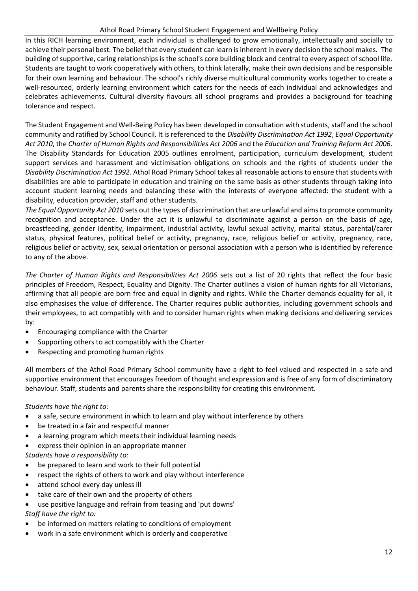#### Athol Road Primary School Student Engagement and Wellbeing Policy

In this RICH learning environment, each individual is challenged to grow emotionally, intellectually and socially to achieve their personal best. The belief that every student can learn is inherent in every decision the school makes. The building of supportive, caring relationships is the school's core building block and central to every aspect of school life. Students are taught to work cooperatively with others, to think laterally, make their own decisions and be responsible for their own learning and behaviour. The school's richly diverse multicultural community works together to create a well-resourced, orderly learning environment which caters for the needs of each individual and acknowledges and celebrates achievements. Cultural diversity flavours all school programs and provides a background for teaching tolerance and respect.

The Student Engagement and Well-Being Policy has been developed in consultation with students, staff and the school community and ratified by School Council. It is referenced to the *Disability Discrimination Act 1992*, *Equal Opportunity Act 2010*, the *Charter of Human Rights and Responsibilities Act 2006* and the *Education and Training Reform Act 2006*. The Disability Standards for Education 2005 outlines enrolment, participation, curriculum development, student support services and harassment and victimisation obligations on schools and the rights of students under the *Disability Discrimination Act 1992*. Athol Road Primary School takes all reasonable actions to ensure that students with disabilities are able to participate in education and training on the same basis as other students through taking into account student learning needs and balancing these with the interests of everyone affected: the student with a disability, education provider, staff and other students.

*The Equal Opportunity Act 2010* sets out the types of discrimination that are unlawful and aims to promote community recognition and acceptance. Under the act it is unlawful to discriminate against a person on the basis of age, breastfeeding, gender identity, impairment, industrial activity, lawful sexual activity, marital status, parental/carer status, physical features, political belief or activity, pregnancy, race, religious belief or activity, pregnancy, race, religious belief or activity, sex, sexual orientation or personal association with a person who is identified by reference to any of the above.

*The Charter of Human Rights and Responsibilities Act 2006* sets out a list of 20 rights that reflect the four basic principles of Freedom, Respect, Equality and Dignity. The Charter outlines a vision of human rights for all Victorians, affirming that all people are born free and equal in dignity and rights. While the Charter demands equality for all, it also emphasises the value of difference. The Charter requires public authorities, including government schools and their employees, to act compatibly with and to consider human rights when making decisions and delivering services by:

- Encouraging compliance with the Charter
- Supporting others to act compatibly with the Charter
- Respecting and promoting human rights

All members of the Athol Road Primary School community have a right to feel valued and respected in a safe and supportive environment that encourages freedom of thought and expression and is free of any form of discriminatory behaviour. Staff, students and parents share the responsibility for creating this environment.

*Students have the right to:*

- a safe, secure environment in which to learn and play without interference by others
- be treated in a fair and respectful manner
- a learning program which meets their individual learning needs
- express their opinion in an appropriate manner

*Students have a responsibility to:*

- be prepared to learn and work to their full potential
- respect the rights of others to work and play without interference
- attend school every day unless ill
- take care of their own and the property of others
- use positive language and refrain from teasing and 'put downs' *Staff have the right to:*
- be informed on matters relating to conditions of employment
- work in a safe environment which is orderly and cooperative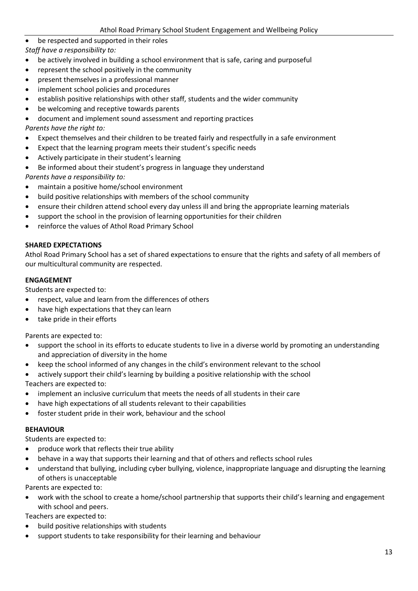- be respected and supported in their roles
- *Staff have a responsibility to:*
- be actively involved in building a school environment that is safe, caring and purposeful
- represent the school positively in the community
- present themselves in a professional manner
- implement school policies and procedures
- establish positive relationships with other staff, students and the wider community
- be welcoming and receptive towards parents
- document and implement sound assessment and reporting practices

# *Parents have the right to:*

- Expect themselves and their children to be treated fairly and respectfully in a safe environment
- Expect that the learning program meets their student's specific needs
- Actively participate in their student's learning
- Be informed about their student's progress in language they understand

*Parents have a responsibility to:*

- maintain a positive home/school environment
- build positive relationships with members of the school community
- ensure their children attend school every day unless ill and bring the appropriate learning materials
- support the school in the provision of learning opportunities for their children
- reinforce the values of Athol Road Primary School

# **SHARED EXPECTATIONS**

Athol Road Primary School has a set of shared expectations to ensure that the rights and safety of all members of our multicultural community are respected.

# **ENGAGEMENT**

Students are expected to:

- respect, value and learn from the differences of others
- have high expectations that they can learn
- take pride in their efforts

Parents are expected to:

- support the school in its efforts to educate students to live in a diverse world by promoting an understanding and appreciation of diversity in the home
- keep the school informed of any changes in the child's environment relevant to the school
- actively support their child's learning by building a positive relationship with the school Teachers are expected to:
- implement an inclusive curriculum that meets the needs of all students in their care
- have high expectations of all students relevant to their capabilities
- foster student pride in their work, behaviour and the school

# **BEHAVIOUR**

Students are expected to:

- produce work that reflects their true ability
- behave in a way that supports their learning and that of others and reflects school rules
- understand that bullying, including cyber bullying, violence, inappropriate language and disrupting the learning of others is unacceptable

Parents are expected to:

• work with the school to create a home/school partnership that supports their child's learning and engagement with school and peers.

Teachers are expected to:

- build positive relationships with students
- support students to take responsibility for their learning and behaviour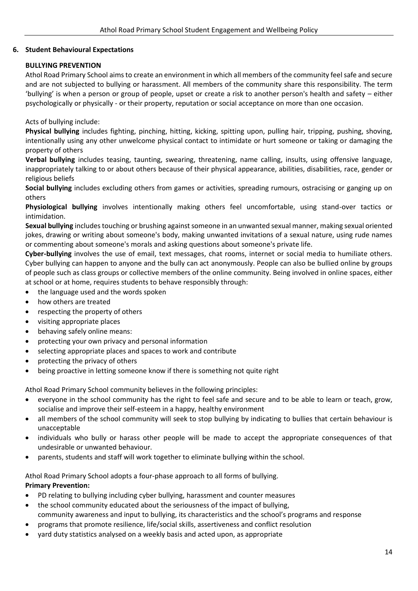# **6. Student Behavioural Expectations**

# **BULLYING PREVENTION**

Athol Road Primary School aims to create an environment in which all members of the community feel safe and secure and are not subjected to bullying or harassment. All members of the community share this responsibility. The term 'bullying' is when a person or group of people, upset or create a risk to another person's health and safety – either psychologically or physically - or their property, reputation or social acceptance on more than one occasion.

Acts of bullying include:

**Physical bullying** includes fighting, pinching, hitting, kicking, spitting upon, pulling hair, tripping, pushing, shoving, intentionally using any other unwelcome physical contact to intimidate or hurt someone or taking or damaging the property of others

**Verbal bullying** includes teasing, taunting, swearing, threatening, name calling, insults, using offensive language, inappropriately talking to or about others because of their physical appearance, abilities, disabilities, race, gender or religious beliefs

**Social bullying** includes excluding others from games or activities, spreading rumours, ostracising or ganging up on others

**Physiological bullying** involves intentionally making others feel uncomfortable, using stand-over tactics or intimidation.

**Sexual bullying** includes touching or brushing against someone in an unwanted sexual manner, making sexual oriented jokes, drawing or writing about someone's body, making unwanted invitations of a sexual nature, using rude names or commenting about someone's morals and asking questions about someone's private life.

**Cyber-bullying** involves the use of email, text messages, chat rooms, internet or social media to humiliate others. Cyber bullying can happen to anyone and the bully can act anonymously. People can also be bullied online by groups of people such as class groups or collective members of the online community. Being involved in online spaces, either at school or at home, requires students to behave responsibly through:

- the language used and the words spoken
- how others are treated
- respecting the property of others
- visiting appropriate places
- behaving safely online means:
- protecting your own privacy and personal information
- selecting appropriate places and spaces to work and contribute
- protecting the privacy of others
- being proactive in letting someone know if there is something not quite right

Athol Road Primary School community believes in the following principles:

- everyone in the school community has the right to feel safe and secure and to be able to learn or teach, grow, socialise and improve their self-esteem in a happy, healthy environment
- all members of the school community will seek to stop bullying by indicating to bullies that certain behaviour is unacceptable
- individuals who bully or harass other people will be made to accept the appropriate consequences of that undesirable or unwanted behaviour.
- parents, students and staff will work together to eliminate bullying within the school.

Athol Road Primary School adopts a four-phase approach to all forms of bullying. **Primary Prevention:**

- PD relating to bullying including cyber bullying, harassment and counter measures
- the school community educated about the seriousness of the impact of bullying, community awareness and input to bullying, its characteristics and the school's programs and response
- programs that promote resilience, life/social skills, assertiveness and conflict resolution
- yard duty statistics analysed on a weekly basis and acted upon, as appropriate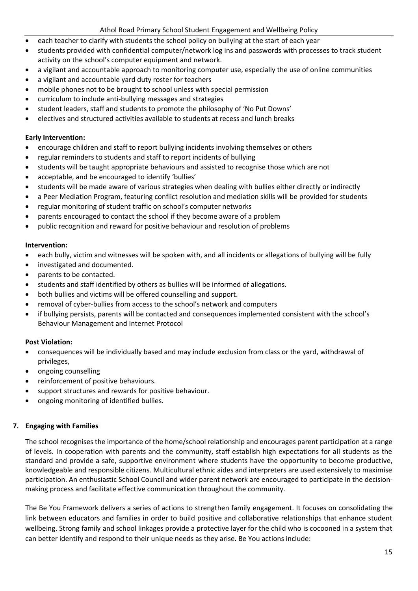- each teacher to clarify with students the school policy on bullying at the start of each year
- students provided with confidential computer/network log ins and passwords with processes to track student activity on the school's computer equipment and network.
- a vigilant and accountable approach to monitoring computer use, especially the use of online communities
- a vigilant and accountable yard duty roster for teachers
- mobile phones not to be brought to school unless with special permission
- curriculum to include anti-bullying messages and strategies
- student leaders, staff and students to promote the philosophy of 'No Put Downs'
- electives and structured activities available to students at recess and lunch breaks

# **Early Intervention:**

- encourage children and staff to report bullying incidents involving themselves or others
- regular reminders to students and staff to report incidents of bullying
- students will be taught appropriate behaviours and assisted to recognise those which are not
- acceptable, and be encouraged to identify 'bullies'
- students will be made aware of various strategies when dealing with bullies either directly or indirectly
- a Peer Mediation Program, featuring conflict resolution and mediation skills will be provided for students
- regular monitoring of student traffic on school's computer networks
- parents encouraged to contact the school if they become aware of a problem
- public recognition and reward for positive behaviour and resolution of problems

# **Intervention:**

- each bully, victim and witnesses will be spoken with, and all incidents or allegations of bullying will be fully
- investigated and documented.
- parents to be contacted.
- students and staff identified by others as bullies will be informed of allegations.
- both bullies and victims will be offered counselling and support.
- removal of cyber-bullies from access to the school's network and computers
- if bullying persists, parents will be contacted and consequences implemented consistent with the school's Behaviour Management and Internet Protocol

# **Post Violation:**

- consequences will be individually based and may include exclusion from class or the yard, withdrawal of privileges,
- ongoing counselling
- reinforcement of positive behaviours.
- support structures and rewards for positive behaviour.
- ongoing monitoring of identified bullies.

# **7. Engaging with Families**

The school recognises the importance of the home/school relationship and encourages parent participation at a range of levels. In cooperation with parents and the community, staff establish high expectations for all students as the standard and provide a safe, supportive environment where students have the opportunity to become productive, knowledgeable and responsible citizens. Multicultural ethnic aides and interpreters are used extensively to maximise participation. An enthusiastic School Council and wider parent network are encouraged to participate in the decisionmaking process and facilitate effective communication throughout the community.

The Be You Framework delivers a series of actions to strengthen family engagement. It focuses on consolidating the link between educators and families in order to build positive and collaborative relationships that enhance student wellbeing. Strong family and school linkages provide a protective layer for the child who is cocooned in a system that can better identify and respond to their unique needs as they arise. Be You actions include: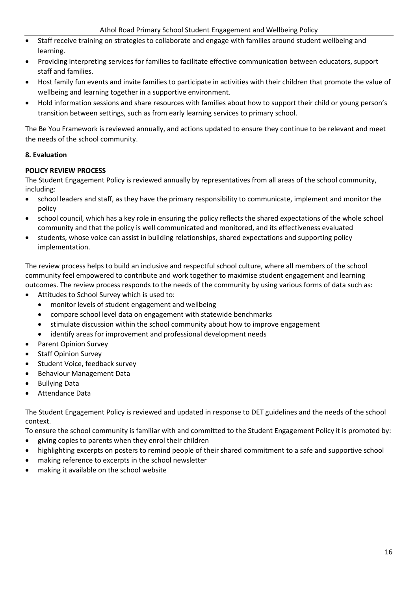- Staff receive training on strategies to collaborate and engage with families around student wellbeing and learning.
- Providing interpreting services for families to facilitate effective communication between educators, support staff and families.
- Host family fun events and invite families to participate in activities with their children that promote the value of wellbeing and learning together in a supportive environment.
- Hold information sessions and share resources with families about how to support their child or young person's transition between settings, such as from early learning services to primary school.

The Be You Framework is reviewed annually, and actions updated to ensure they continue to be relevant and meet the needs of the school community.

# **8. Evaluation**

# **POLICY REVIEW PROCESS**

The Student Engagement Policy is reviewed annually by representatives from all areas of the school community, including:

- school leaders and staff, as they have the primary responsibility to communicate, implement and monitor the policy
- school council, which has a key role in ensuring the policy reflects the shared expectations of the whole school community and that the policy is well communicated and monitored, and its effectiveness evaluated
- students, whose voice can assist in building relationships, shared expectations and supporting policy implementation.

The review process helps to build an inclusive and respectful school culture, where all members of the school community feel empowered to contribute and work together to maximise student engagement and learning outcomes. The review process responds to the needs of the community by using various forms of data such as:

- Attitudes to School Survey which is used to:
	- monitor levels of student engagement and wellbeing
	- compare school level data on engagement with statewide benchmarks
	- stimulate discussion within the school community about how to improve engagement
	- identify areas for improvement and professional development needs
- Parent Opinion Survey
- **Staff Opinion Survey**
- Student Voice, feedback survey
- Behaviour Management Data
- Bullying Data
- Attendance Data

The Student Engagement Policy is reviewed and updated in response to DET guidelines and the needs of the school context.

To ensure the school community is familiar with and committed to the Student Engagement Policy it is promoted by:

- giving copies to parents when they enrol their children
- highlighting excerpts on posters to remind people of their shared commitment to a safe and supportive school
- making reference to excerpts in the school newsletter
- making it available on the school website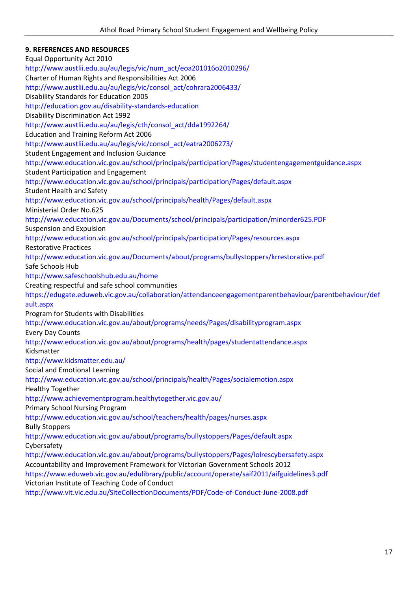# **9. REFERENCES AND RESOURCES**

Equal Opportunity Act 2010 http://www.austlii.edu.au/au/legis/vic/num\_act/eoa201016o2010296/ Charter of Human Rights and Responsibilities Act 2006 http://www.austlii.edu.au/au/legis/vic/consol\_act/cohrara2006433/ Disability Standards for Education 2005 http://education.gov.au/disability-standards-education Disability Discrimination Act 1992 http://www.austlii.edu.au/au/legis/cth/consol\_act/dda1992264/ Education and Training Reform Act 2006 http://www.austlii.edu.au/au/legis/vic/consol\_act/eatra2006273/ Student Engagement and Inclusion Guidance http://www.education.vic.gov.au/school/principals/participation/Pages/studentengagementguidance.aspx Student Participation and Engagement http://www.education.vic.gov.au/school/principals/participation/Pages/default.aspx Student Health and Safety http://www.education.vic.gov.au/school/principals/health/Pages/default.aspx Ministerial Order No.625 http://www.education.vic.gov.au/Documents/school/principals/participation/minorder625.PDF Suspension and Expulsion http://www.education.vic.gov.au/school/principals/participation/Pages/resources.aspx Restorative Practices http://www.education.vic.gov.au/Documents/about/programs/bullystoppers/krrestorative.pdf Safe Schools Hub http://www.safeschoolshub.edu.au/home Creating respectful and safe school communities https://edugate.eduweb.vic.gov.au/collaboration/attendanceengagementparentbehaviour/parentbehaviour/def ault.aspx Program for Students with Disabilities http://www.education.vic.gov.au/about/programs/needs/Pages/disabilityprogram.aspx Every Day Counts http://www.education.vic.gov.au/about/programs/health/pages/studentattendance.aspx Kidsmatter http://www.kidsmatter.edu.au/ Social and Emotional Learning http://www.education.vic.gov.au/school/principals/health/Pages/socialemotion.aspx Healthy Together http://www.achievementprogram.healthytogether.vic.gov.au/ Primary School Nursing Program http://www.education.vic.gov.au/school/teachers/health/pages/nurses.aspx Bully Stoppers http://www.education.vic.gov.au/about/programs/bullystoppers/Pages/default.aspx Cybersafety http://www.education.vic.gov.au/about/programs/bullystoppers/Pages/lolrescybersafety.aspx Accountability and Improvement Framework for Victorian Government Schools 2012 https://www.eduweb.vic.gov.au/edulibrary/public/account/operate/saif2011/aifguidelines3.pdf Victorian Institute of Teaching Code of Conduct http://www.vit.vic.edu.au/SiteCollectionDocuments/PDF/Code-of-Conduct-June-2008.pdf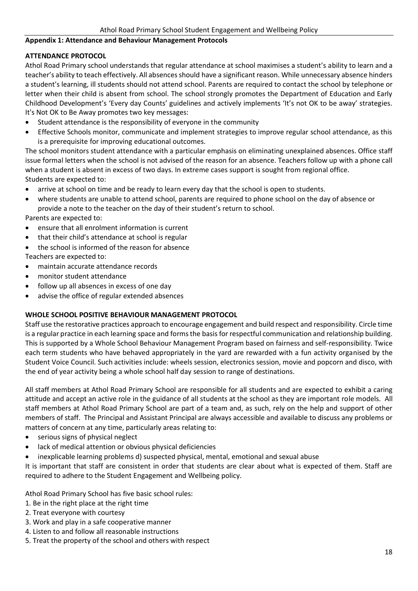#### **Appendix 1: Attendance and Behaviour Management Protocols**

#### **ATTENDANCE PROTOCOL**

Athol Road Primary school understands that regular attendance at school maximises a student's ability to learn and a teacher's ability to teach effectively. All absences should have a significant reason. While unnecessary absence hinders a student's learning, ill students should not attend school. Parents are required to contact the school by telephone or letter when their child is absent from school. The school strongly promotes the Department of Education and Early Childhood Development's 'Every day Counts' guidelines and actively implements 'It's not OK to be away' strategies. It's Not OK to Be Away promotes two key messages:

- Student attendance is the responsibility of everyone in the community
- Effective Schools monitor, communicate and implement strategies to improve regular school attendance, as this is a prerequisite for improving educational outcomes.

The school monitors student attendance with a particular emphasis on eliminating unexplained absences. Office staff issue formal letters when the school is not advised of the reason for an absence. Teachers follow up with a phone call when a student is absent in excess of two days. In extreme cases support is sought from regional office. Students are expected to:

- arrive at school on time and be ready to learn every day that the school is open to students.
- where students are unable to attend school, parents are required to phone school on the day of absence or provide a note to the teacher on the day of their student's return to school.

Parents are expected to:

- ensure that all enrolment information is current
- that their child's attendance at school is regular
- the school is informed of the reason for absence

Teachers are expected to:

- maintain accurate attendance records
- monitor student attendance
- follow up all absences in excess of one day
- advise the office of regular extended absences

# **WHOLE SCHOOL POSITIVE BEHAVIOUR MANAGEMENT PROTOCOL**

Staff use the restorative practices approach to encourage engagement and build respect and responsibility. Circle time is a regular practice in each learning space and forms the basis for respectful communication and relationship building. This is supported by a Whole School Behaviour Management Program based on fairness and self-responsibility. Twice each term students who have behaved appropriately in the yard are rewarded with a fun activity organised by the Student Voice Council. Such activities include: wheels session, electronics session, movie and popcorn and disco, with the end of year activity being a whole school half day session to range of destinations.

All staff members at Athol Road Primary School are responsible for all students and are expected to exhibit a caring attitude and accept an active role in the guidance of all students at the school as they are important role models. All staff members at Athol Road Primary School are part of a team and, as such, rely on the help and support of other members of staff. The Principal and Assistant Principal are always accessible and available to discuss any problems or matters of concern at any time, particularly areas relating to:

- serious signs of physical neglect
- lack of medical attention or obvious physical deficiencies
- inexplicable learning problems d) suspected physical, mental, emotional and sexual abuse

It is important that staff are consistent in order that students are clear about what is expected of them. Staff are required to adhere to the Student Engagement and Wellbeing policy.

Athol Road Primary School has five basic school rules:

- 1. Be in the right place at the right time
- 2. Treat everyone with courtesy
- 3. Work and play in a safe cooperative manner
- 4. Listen to and follow all reasonable instructions
- 5. Treat the property of the school and others with respect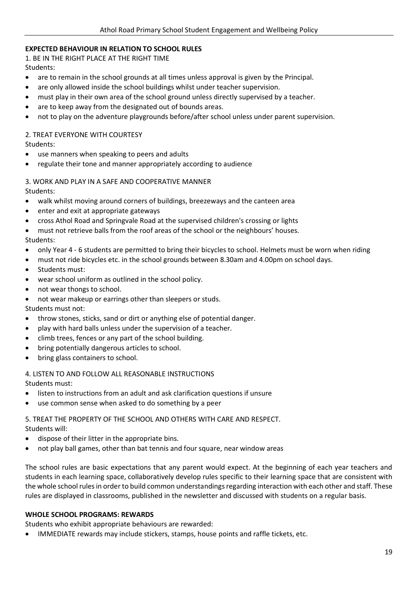# **EXPECTED BEHAVIOUR IN RELATION TO SCHOOL RULES**

1. BE IN THE RIGHT PLACE AT THE RIGHT TIME Students:

- are to remain in the school grounds at all times unless approval is given by the Principal.
- are only allowed inside the school buildings whilst under teacher supervision.
- must play in their own area of the school ground unless directly supervised by a teacher.
- are to keep away from the designated out of bounds areas.
- not to play on the adventure playgrounds before/after school unless under parent supervision.

# 2. TREAT EVERYONE WITH COURTESY

Students:

- use manners when speaking to peers and adults
- regulate their tone and manner appropriately according to audience

#### 3. WORK AND PLAY IN A SAFE AND COOPERATIVE MANNER

Students:

- walk whilst moving around corners of buildings, breezeways and the canteen area
- enter and exit at appropriate gateways
- cross Athol Road and Springvale Road at the supervised children's crossing or lights

• must not retrieve balls from the roof areas of the school or the neighbours' houses.

Students:

- only Year 4 6 students are permitted to bring their bicycles to school. Helmets must be worn when riding
- must not ride bicycles etc. in the school grounds between 8.30am and 4.00pm on school days.
- Students must:
- wear school uniform as outlined in the school policy.
- not wear thongs to school.
- not wear makeup or earrings other than sleepers or studs.

Students must not:

- throw stones, sticks, sand or dirt or anything else of potential danger.
- play with hard balls unless under the supervision of a teacher.
- climb trees, fences or any part of the school building.
- bring potentially dangerous articles to school.
- bring glass containers to school.

4. LISTEN TO AND FOLLOW ALL REASONABLE INSTRUCTIONS

Students must:

- listen to instructions from an adult and ask clarification questions if unsure
- use common sense when asked to do something by a peer

# 5. TREAT THE PROPERTY OF THE SCHOOL AND OTHERS WITH CARE AND RESPECT.

Students will:

- dispose of their litter in the appropriate bins.
- not play ball games, other than bat tennis and four square, near window areas

The school rules are basic expectations that any parent would expect. At the beginning of each year teachers and students in each learning space, collaboratively develop rules specific to their learning space that are consistent with the whole school rules in order to build common understandings regarding interaction with each other and staff. These rules are displayed in classrooms, published in the newsletter and discussed with students on a regular basis.

#### **WHOLE SCHOOL PROGRAMS: REWARDS**

Students who exhibit appropriate behaviours are rewarded:

• IMMEDIATE rewards may include stickers, stamps, house points and raffle tickets, etc.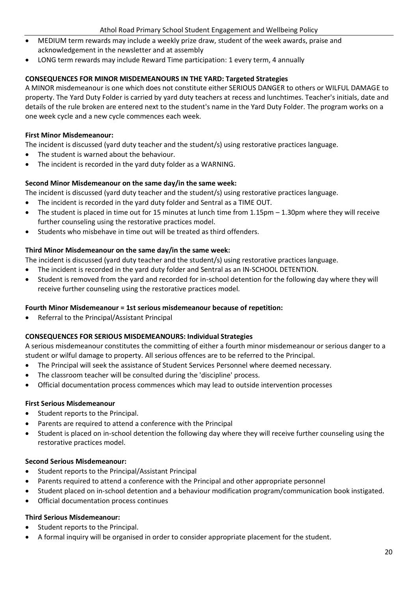- MEDIUM term rewards may include a weekly prize draw, student of the week awards, praise and acknowledgement in the newsletter and at assembly
- LONG term rewards may include Reward Time participation: 1 every term, 4 annually

# **CONSEQUENCES FOR MINOR MISDEMEANOURS IN THE YARD: Targeted Strategies**

A MINOR misdemeanour is one which does not constitute either SERIOUS DANGER to others or WILFUL DAMAGE to property. The Yard Duty Folder is carried by yard duty teachers at recess and lunchtimes. Teacher's initials, date and details of the rule broken are entered next to the student's name in the Yard Duty Folder. The program works on a one week cycle and a new cycle commences each week.

# **First Minor Misdemeanour:**

The incident is discussed (yard duty teacher and the student/s) using restorative practices language.

- The student is warned about the behaviour.
- The incident is recorded in the yard duty folder as a WARNING.

# **Second Minor Misdemeanour on the same day/in the same week:**

The incident is discussed (yard duty teacher and the student/s) using restorative practices language.

- The incident is recorded in the yard duty folder and Sentral as a TIME OUT.
- The student is placed in time out for 15 minutes at lunch time from  $1.15$ pm  $-1.30$ pm where they will receive further counseling using the restorative practices model.
- Students who misbehave in time out will be treated as third offenders.

# **Third Minor Misdemeanour on the same day/in the same week:**

The incident is discussed (yard duty teacher and the student/s) using restorative practices language.

- The incident is recorded in the yard duty folder and Sentral as an IN-SCHOOL DETENTION.
- Student is removed from the yard and recorded for in-school detention for the following day where they will receive further counseling using the restorative practices model.

# **Fourth Minor Misdemeanour = 1st serious misdemeanour because of repetition:**

• Referral to the Principal/Assistant Principal

# **CONSEQUENCES FOR SERIOUS MISDEMEANOURS: Individual Strategies**

A serious misdemeanour constitutes the committing of either a fourth minor misdemeanour or serious danger to a student or wilful damage to property. All serious offences are to be referred to the Principal.

- The Principal will seek the assistance of Student Services Personnel where deemed necessary.
- The classroom teacher will be consulted during the 'discipline' process.
- Official documentation process commences which may lead to outside intervention processes

# **First Serious Misdemeanour**

- Student reports to the Principal.
- Parents are required to attend a conference with the Principal
- Student is placed on in-school detention the following day where they will receive further counseling using the restorative practices model.

# **Second Serious Misdemeanour:**

- Student reports to the Principal/Assistant Principal
- Parents required to attend a conference with the Principal and other appropriate personnel
- Student placed on in-school detention and a behaviour modification program/communication book instigated.
- Official documentation process continues

# **Third Serious Misdemeanour:**

- Student reports to the Principal.
- A formal inquiry will be organised in order to consider appropriate placement for the student.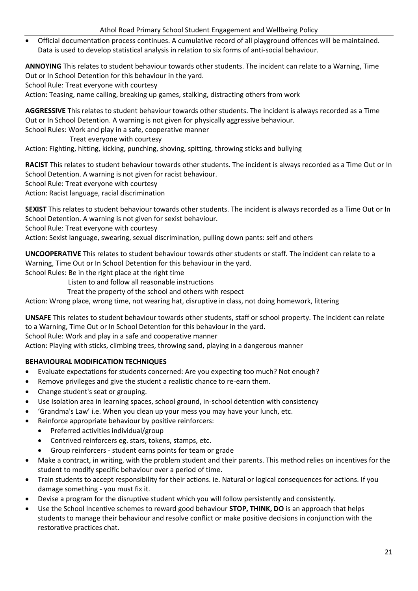• Official documentation process continues. A cumulative record of all playground offences will be maintained. Data is used to develop statistical analysis in relation to six forms of anti-social behaviour.

**ANNOYING** This relates to student behaviour towards other students. The incident can relate to a Warning, Time Out or In School Detention for this behaviour in the yard.

School Rule: Treat everyone with courtesy

Action: Teasing, name calling, breaking up games, stalking, distracting others from work

**AGGRESSIVE** This relates to student behaviour towards other students. The incident is always recorded as a Time Out or In School Detention. A warning is not given for physically aggressive behaviour.

School Rules: Work and play in a safe, cooperative manner

Treat everyone with courtesy

Action: Fighting, hitting, kicking, punching, shoving, spitting, throwing sticks and bullying

**RACIST** This relates to student behaviour towards other students. The incident is always recorded as a Time Out or In School Detention. A warning is not given for racist behaviour.

School Rule: Treat everyone with courtesy

Action: Racist language, racial discrimination

**SEXIST** This relates to student behaviour towards other students. The incident is always recorded as a Time Out or In School Detention. A warning is not given for sexist behaviour.

School Rule: Treat everyone with courtesy

Action: Sexist language, swearing, sexual discrimination, pulling down pants: self and others

**UNCOOPERATIVE** This relates to student behaviour towards other students or staff. The incident can relate to a Warning, Time Out or In School Detention for this behaviour in the yard.

School Rules: Be in the right place at the right time

- Listen to and follow all reasonable instructions
- Treat the property of the school and others with respect

Action: Wrong place, wrong time, not wearing hat, disruptive in class, not doing homework, littering

**UNSAFE** This relates to student behaviour towards other students, staff or school property. The incident can relate to a Warning, Time Out or In School Detention for this behaviour in the yard.

School Rule: Work and play in a safe and cooperative manner

Action: Playing with sticks, climbing trees, throwing sand, playing in a dangerous manner

# **BEHAVIOURAL MODIFICATION TECHNIQUES**

- Evaluate expectations for students concerned: Are you expecting too much? Not enough?
- Remove privileges and give the student a realistic chance to re-earn them.
- Change student's seat or grouping.
- Use Isolation area in learning spaces, school ground, in-school detention with consistency
- 'Grandma's Law' i.e. When you clean up your mess you may have your lunch, etc.
- Reinforce appropriate behaviour by positive reinforcers:
	- Preferred activities individual/group
	- Contrived reinforcers eg. stars, tokens, stamps, etc.
	- Group reinforcers student earns points for team or grade
- Make a contract, in writing, with the problem student and their parents. This method relies on incentives for the student to modify specific behaviour over a period of time.
- Train students to accept responsibility for their actions. ie. Natural or logical consequences for actions. If you damage something - you must fix it.
- Devise a program for the disruptive student which you will follow persistently and consistently.
- Use the School Incentive schemes to reward good behaviour **STOP, THINK, DO** is an approach that helps students to manage their behaviour and resolve conflict or make positive decisions in conjunction with the restorative practices chat.